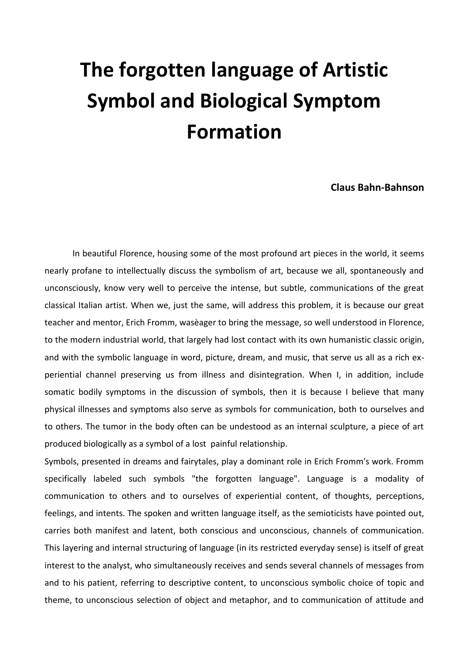## **The forgotten language of Artistic Symbol and Biological Symptom Formation**

## **Claus Bahn-Bahnson**

In beautiful Florence, housing some of the most profound art pieces in the world, it seems nearly profane to intellectually discuss the symbolism of art, because we all, spontaneously and unconsciously, know very well to perceive the intense, but subtle, communications of the great classical Italian artist. When we, just the same, will address this problem, it is because our great teacher and mentor, Erich Fromm, wasèager to bring the message, so well understood in Florence, to the modern industriaI world, that largely had lost contact with its own humanistic classic origin, and with the symbolic language in word, picture, dream, and music, that serve us all as a rich experiential channel preserving us from illness and disintegration. When I, in addition, include somatic bodily symptoms in the discussion of symbols, then it is because I believe that many physical illnesses and symptoms also serve as symbols for communication, both to ourselves and to others. The tumor in the body often can be undestood as an internaI sculpture, a piece of art produced biologically as a symbol of a lost painful relationship.

Symbols, presented in dreams and fairytales, play a dominant role in Erich Fromm's work. Fromm specifically labeled such symbols "the forgotten language". Language is a modality of communication to others and to ourselves of experiential content, of thoughts, perceptions, feelings, and intents. The spoken and written language itself, as the semioticists have pointed out, carries both manifest and latent, both conscious and unconscious, channels of communication. This layering and internaI structuring of language (in its restricted everyday sense) is itself of great interest to the analyst, who simultaneously receives and sends several channels of messages from and to his patient, referring to descriptive content, to unconscious symbolic choice of topic and theme, to unconscious selection of object and metaphor, and to communication of attitude and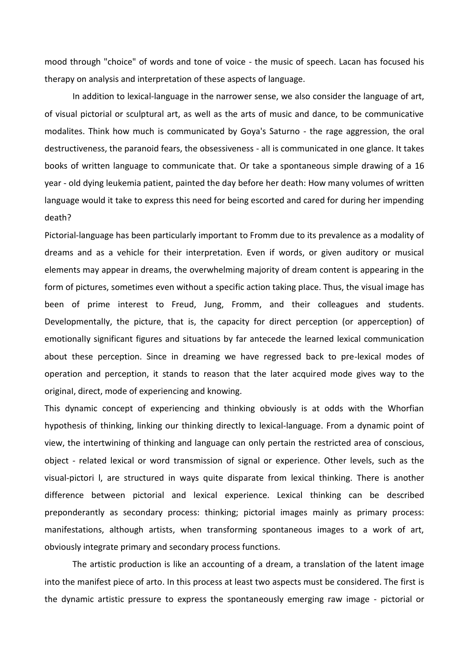mood through "choice" of words and tone of voice - the music of speech. Lacan has focused his therapy on analysis and interpretation of these aspects of language.

In addition to lexical-language in the narrower sense, we also consider the language of art, of visual pictorial or sculptural art, as well as the arts of music and dance, to be communicative modalites. Think how much is communicated by Goya's Saturno - the rage aggression, the oral destructiveness, the paranoid fears, the obsessiveness - alI is communicated in one glance. It takes books of written language to communicate that. Or take a spontaneous simple drawing of a 16 year - old dying leukemia patient, painted the day before her death: How many volumes of written language would it take to express this need for being escorted and cared for during her impending death?

Pictorial-language has been particularly important to Fromm due to its prevalence as a modality of dreams and as a vehicle for their interpretation. Even if words, or given auditory or musical elements may appear in dreams, the overwhelming majority of dream content is appearing in the form of pictures, sometimes even without a specific action taking pIace. Thus, the visual image has been of prime interest to Freud, Jung, Fromm, and their colleagues and students. DevelopmentalIy, the picture, that is, the capacity for direct perception (or apperception) of emotionalIy significant figures and situations by far antecede the learned lexical communication about these perception. Since in dreaming we have regressed back to pre-lexical modes of operation and perception, it stands to reason that the later acquired mode gives way to the originaI, direct, mode of experiencing and knowing.

This dynamic concept of experiencing and thinking obviously is at odds with the Whorfian hypothesis of thinking, linking our thinking directly to lexical-language. From a dynamic point of view, the intertwining of thinking and language can only pertain the restricted area of conscious, object - related lexical or word transmission of signal or experience. Other levels, such as the visual-pictori l, are structured in ways quite disparate from lexical thinking. There is another difference between pictorial and lexical experience. Lexical thinking can be described preponderantly as secondary process: thinking; pictorial images mainly as primary process: manifestations, although artists, when transforming spontaneous images to a work of art, obviously integrate primary and secondary process functions.

The artistic production is like an accounting of a dream, a translation of the latent image into the manifest piece of arto. In this process at least two aspects must be considered. The first is the dynamic artistic pressure to express the spontaneously emerging raw image - pictorial or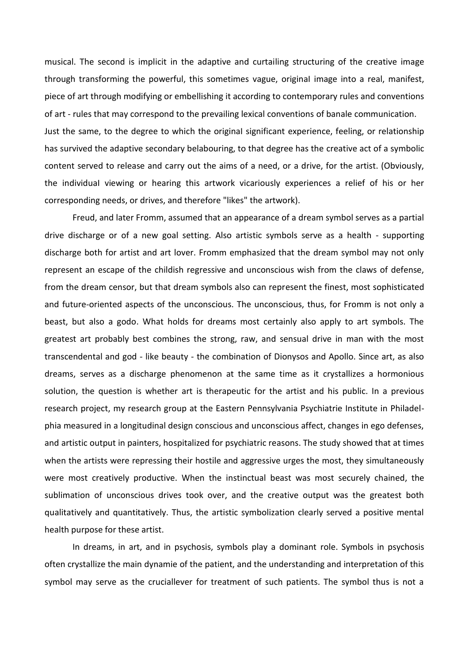musical. The second is implicit in the adaptive and curtailing structuring of the creative image through transforming the powerful, this sometimes vague, originaI image into a real, manifest, piece of art through modifying or embellishing it according to contemporary rules and conventions of art - rules that may correspond to the prevailing lexical conventions of banale communication. Just the same, to the degree to which the originaI significant experience, feeling, or relationship has survived the adaptive secondary belabouring, to that degree has the creative act of a symbolic content served to release and carry out the aims of a need, or a drive, for the artist. (Obviously, the individuaI viewing or hearing this artwork vicariously experiences a relief of his or her corresponding needs, or drives, and therefore "likes" the artwork).

Freud, and later Fromm, assumed that an appearance of a dream symbol serves as a partial drive discharge or of a new goal setting. Also artistic symbols serve as a health - supporting discharge both for artist and art lover. Fromm emphasized that the dream symbol may not only represent an escape of the childish regressive and unconscious wish from the claws of defense, from the dream censor, but that dream symbols also can represent the finest, most sophisticated and future-oriented aspects of the unconscious. The unconscious, thus, for Fromm is not only a beast, but also a godo. What holds for dreams most certainly also apply to art symbols. The greatest art probably best combines the strong, raw, and sensual drive in man with the most transcendental and god - like beauty - the combination of Dionysos and Apollo. Since art, as also dreams, serves as a discharge phenomenon at the same time as it crystallizes a hormonious solution, the question is whether art is therapeutic for the artist and his public. In a previous research project, my research group at the Eastern Pennsylvania Psychiatrie Institute in Philadelphia measured in a longitudinal design conscious and unconscious affect, changes in ego defenses, and artistic output in painters, hospitalized for psychiatric reasons. The study showed that at times when the artists were repressing their hostile and aggressive urges the most, they simultaneously were most creatively productive. When the instinctual beast was most securely chained, the sublimation of unconscious drives took over, and the creative output was the greatest both qualitatively and quantitatively. Thus, the artistic symbolization clearly served a positive mental health purpose for these artist.

In dreams, in art, and in psychosis, symbols play a dominant role. Symbols in psychosis often crystallize the main dynamie of the patient, and the understanding and interpretation of this symbol may serve as the cruciallever for treatment of such patients. The symbol thus is not a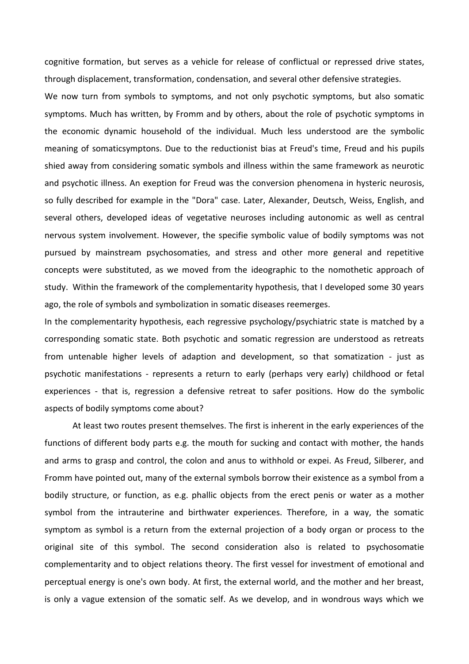cognitive formation, but serves as a vehicle for release of conflictual or repressed drive states, through displacement, transformation, condensation, and several other defensive strategies.

We now turn from symbols to symptoms, and not only psychotic symptoms, but also somatic symptoms. Much has written, by Fromm and by others, about the role of psychotic symptoms in the economic dynamic household of the individuaI. Much less understood are the symbolic meaning of somaticsymptons. Due to the reductionist bias at Freud's time, Freud and his pupils shied away from considering somatic symbols and illness within the same framework as neurotic and psychotic illness. An exeption for Freud was the conversion phenomena in hysteric neurosis, so fully described for example in the "Dora" case. Later, Alexander, Deutsch, Weiss, English, and several others, developed ideas of vegetative neuroses including autonomic as well as centraI nervous system involvement. However, the specifie symbolic value of bodily symptoms was not pursued by mainstream psychosomaties, and stress and other more generaI and repetitive concepts were substituted, as we moved from the ideographic to the nomothetic approach of study. Within the framework of the complementarity hypothesis, that I developed some 30 years ago, the role of symbols and symbolization in somatic diseases reemerges.

In the complementarity hypothesis, each regressive psychology/psychiatric state is matched by a corresponding somatic state. Both psychotic and somatic regression are understood as retreats from untenable higher levels of adaption and development, so that somatization - just as psychotic manifestations - represents a return to early (perhaps very early) childhood or fetal experiences - that is, regression a defensive retreat to safer positions. How do the symbolic aspects of bodily symptoms come about?

At least two routes present themselves. The first is inherent in the early experiences of the functions of different body parts e.g. the mouth for sucking and contact with mother, the hands and arms to grasp and control, the colon and anus to withhold or expei. As Freud, Silberer, and Fromm have pointed out, many of the external symbols borrow their existence as a symbol from a bodily structure, or function, as e.g. phallic objects from the erect penis or water as a mother symbol from the intrauterine and birthwater experiences. Therefore, in a way, the somatic symptom as symbol is a return from the external projection of a body organ or process to the originaI site of this symbol. The second consideration also is related to psychosomatie complementarity and to object relations theory. The first vessel for investment of emotional and perceptual energy is one's own body. At first, the external world, and the mother and her breast, is only a vague extension of the somatic self. As we develop, and in wondrous ways which we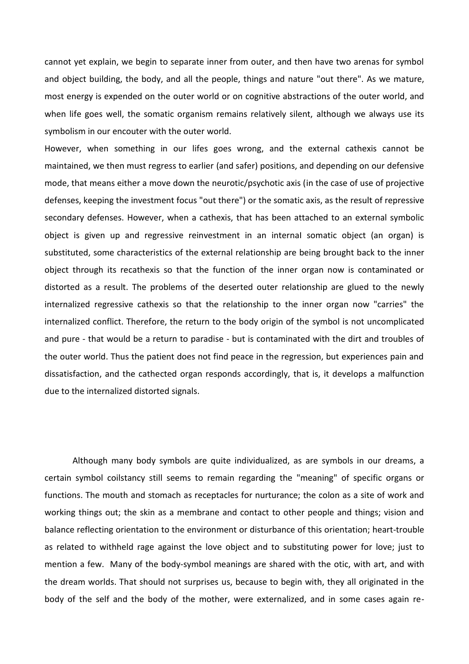cannot yet explain, we begin to separate inner from outer, and then have two arenas for symbol and object building, the body, and all the people, things and nature "out there". As we mature, most energy is expended on the outer world or on cognitive abstractions of the outer world, and when life goes well, the somatic organism remains relatively silent, although we always use its symbolism in our encouter with the outer world.

However, when something in our lifes goes wrong, and the external cathexis cannot be maintained, we then must regress to earlier (and safer) positions, and depending on our defensive mode, that means either a move down the neurotic/psychotic axis (in the case of use of projective defenses, keeping the investment focus "out there") or the somatic axis, as the result of repressive secondary defenses. However, when a cathexis, that has been attached to an external symbolic object is given up and regressive reinvestment in an internaI somatic object (an organ) is substituted, some characteristics of the external relationship are being brought back to the inner object through its recathexis so that the function of the inner organ now is contaminated or distorted as a result. The problems of the deserted outer relationship are glued to the newly internalized regressive cathexis so that the relationship to the inner organ now "carries" the internalized conflict. Therefore, the return to the body origin of the symbol is not uncomplicated and pure - that would be a return to paradise - but is contaminated with the dirt and troubles of the outer world. Thus the patient does not find peace in the regression, but experiences pain and dissatisfaction, and the cathected organ responds accordingly, that is, it develops a malfunction due to the internalized distorted signals.

Although many body symbols are quite individualized, as are symbols in our dreams, a certain symbol coilstancy still seems to remain regarding the "meaning" of specific organs or functions. The mouth and stomach as receptacles for nurturance; the colon as a site of work and working things out; the skin as a membrane and contact to other people and things; vision and balance reflecting orientation to the environment or disturbance of this orientation; heart-trouble as related to withheld rage against the love object and to substituting power for love; just to mention a few. Many of the body-symbol meanings are shared with the otic, with art, and with the dream worlds. That should not surprises us, because to begin with, they all originated in the body of the self and the body of the mother, were externalized, and in some cases again re